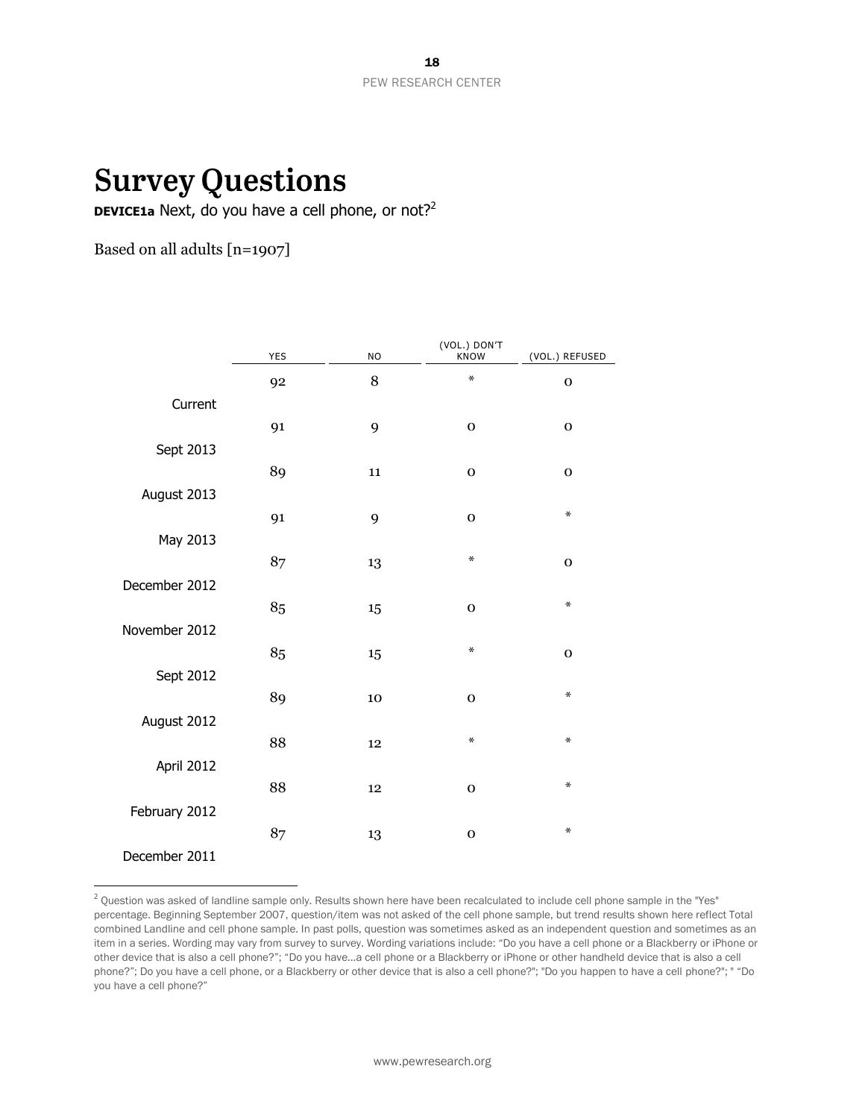# **Survey Questions**

**DEVICE1a** Next, do you have a cell phone, or not?<sup>2</sup>

Based on all adults [n=1907]

 $\overline{a}$ 

|               | <b>YES</b> | <b>NO</b> | (VOL.) DON'T<br><b>KNOW</b> | (VOL.) REFUSED |
|---------------|------------|-----------|-----------------------------|----------------|
|               | 92         | 8         | ∗                           | $\mathbf 0$    |
| Current       |            |           |                             |                |
|               | 91         | 9         | $\mathbf 0$                 | $\mathbf 0$    |
| Sept 2013     |            |           |                             |                |
|               | 89         | $11\,$    | $\mathbf 0$                 | $\mathbf o$    |
| August 2013   | 91         | 9         | $\mathbf 0$                 | ∗              |
| May 2013      |            |           |                             |                |
|               | 87         | 13        | $\ast$                      | $\mathbf{o}$   |
| December 2012 |            |           |                             |                |
|               | 85         | 15        | $\mathbf 0$                 | ∗              |
| November 2012 | 85         |           | $\ast$                      | $\mathbf 0$    |
| Sept 2012     |            | 15        |                             |                |
|               | 89         | 10        | $\mathbf 0$                 | ∗              |
| August 2012   |            |           |                             |                |
|               | 88         | 12        | ∗                           | ∗              |
| April 2012    |            |           |                             | ∗              |
| February 2012 | 88         | 12        | $\mathbf 0$                 |                |
|               | 87         | 13        | $\mathbf 0$                 | ∗              |
| December 2011 |            |           |                             |                |

<sup>&</sup>lt;sup>2</sup> Question was asked of landline sample only. Results shown here have been recalculated to include cell phone sample in the "Yes" percentage. Beginning September 2007, question/item was not asked of the cell phone sample, but trend results shown here reflect Total combined Landline and cell phone sample. In past polls, question was sometimes asked as an independent question and sometimes as an item in a series. Wording may vary from survey to survey. Wording variations include: "Do you have a cell phone or a Blackberry or iPhone or other device that is also a cell phone?"; "Do you have...a cell phone or a Blackberry or iPhone or other handheld device that is also a cell phone?"; Do you have a cell phone, or a Blackberry or other device that is also a cell phone?"; "Do you happen to have a cell phone?"; " "Do you have a cell phone?"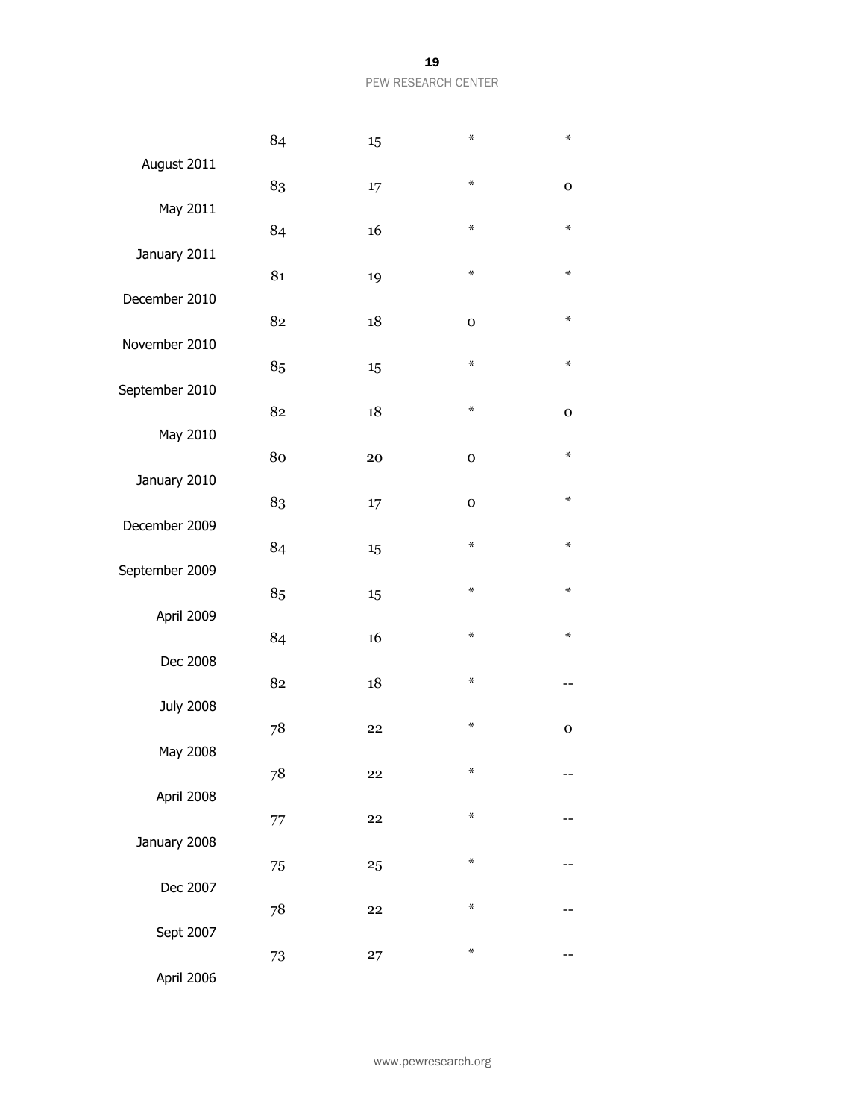|                  | 84 | 15 | $\ast$      | $\ast$      |
|------------------|----|----|-------------|-------------|
| August 2011      | 83 |    | ⋇           | $\mathbf 0$ |
| May 2011         |    | 17 |             |             |
| January 2011     | 84 | 16 | ⋇           | ⋇           |
|                  | 81 | 19 | ₩           | ∗           |
| December 2010    | 82 | 18 | $\mathbf 0$ | ∗           |
| November 2010    |    |    |             |             |
| September 2010   | 85 | 15 | ⋇           | ⋇           |
|                  | 82 | 18 | ⋇           | $\mathbf 0$ |
| May 2010         | 80 | 20 | $\mathbf 0$ | ∗           |
| January 2010     | 83 | 17 | $\mathbf 0$ | ₩           |
| December 2009    |    |    |             |             |
| September 2009   | 84 | 15 | ⋇           | $\ast$      |
|                  | 85 | 15 | ₩           | ∗           |
| April 2009       | 84 | 16 | ⋇           | ₩           |
| Dec 2008         | 82 |    | ⋇           |             |
| <b>July 2008</b> |    | 18 |             |             |
| May 2008         | 78 | 22 | $\ast$      | $\mathbf 0$ |
|                  | 78 | 22 | ₩           |             |
| April 2008       | 77 | 22 | ₩           |             |
| January 2008     |    |    | $\ast$      |             |
| Dec 2007         | 75 | 25 |             |             |
|                  | 78 | 22 | ₩           |             |
| Sept 2007        | 73 | 27 | ₩           |             |
| April 2006       |    |    |             |             |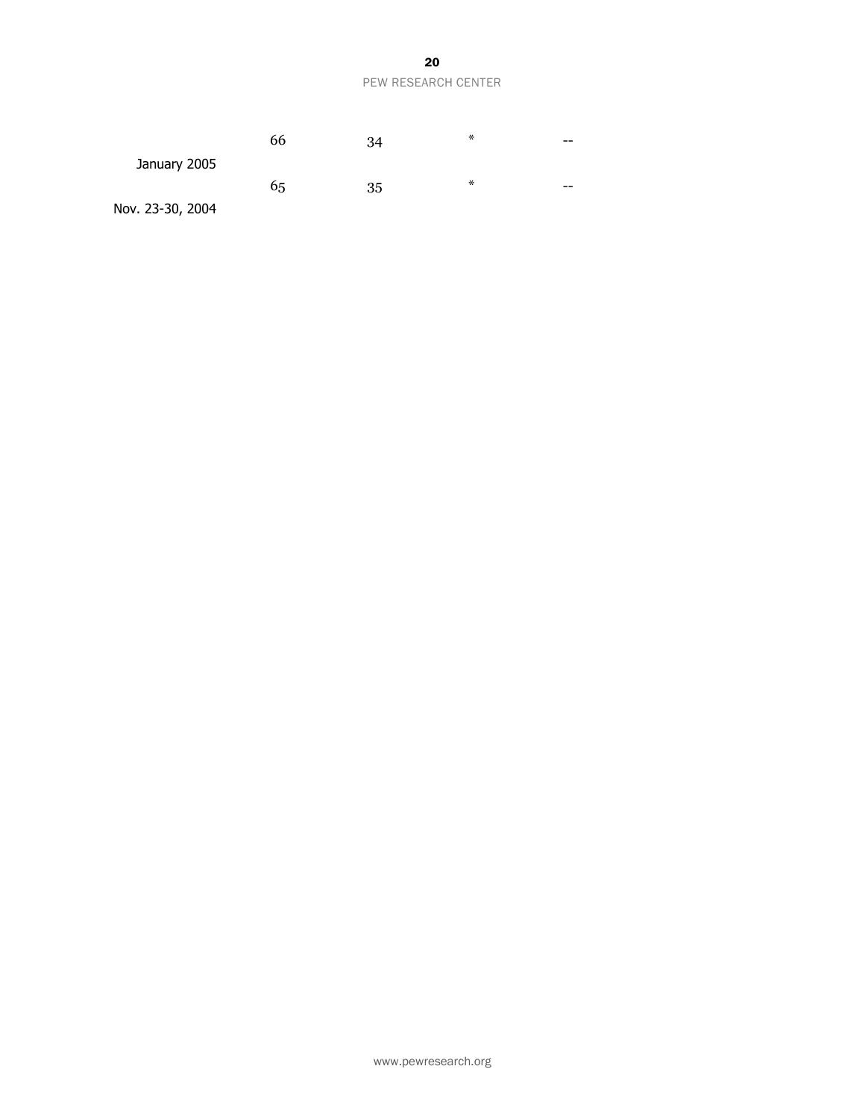|                  | 66 | 34 | ∗ | --    |
|------------------|----|----|---|-------|
| January 2005     |    |    |   |       |
|                  | 65 | 35 | ∗ | $- -$ |
| Nov. 23-30, 2004 |    |    |   |       |

www.pewresearch.org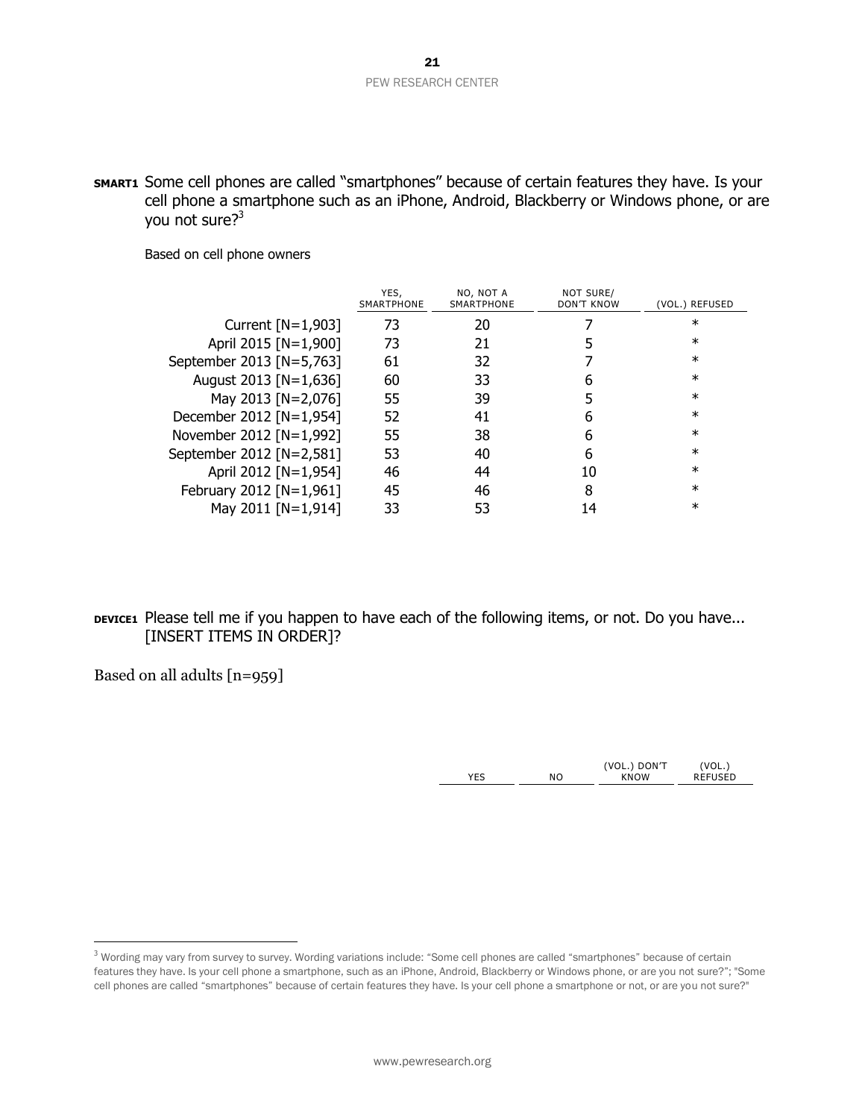**SMART1** Some cell phones are called "smartphones" because of certain features they have. Is your cell phone a smartphone such as an iPhone, Android, Blackberry or Windows phone, or are you not sure?<sup>3</sup>

Based on cell phone owners

|                          | YES,<br>SMARTPHONE | NO, NOT A<br><b>SMARTPHONE</b> | NOT SURE/<br><b>DON'T KNOW</b> | (VOL.) REFUSED |
|--------------------------|--------------------|--------------------------------|--------------------------------|----------------|
| Current $[N=1,903]$      | 73                 | 20                             |                                | ∗              |
| April 2015 [N=1,900]     | 73                 | 21                             |                                | ∗              |
| September 2013 [N=5,763] | 61                 | 32                             |                                | $\ast$         |
| August 2013 [N=1,636]    | 60                 | 33                             | 6                              | ∗              |
| May 2013 [N=2,076]       | 55                 | 39                             |                                | ∗              |
| December 2012 [N=1,954]  | 52                 | 41                             | 6                              | $\ast$         |
| November 2012 [N=1,992]  | 55                 | 38                             | 6                              | $\ast$         |
| September 2012 [N=2,581] | 53                 | 40                             | 6                              | ∗              |
| April 2012 [N=1,954]     | 46                 | 44                             | 10                             | ∗              |
| February 2012 [N=1,961]  | 45                 | 46                             | 8                              | $\ast$         |
| May 2011 [N=1,914]       | 33                 | 53                             | 14                             | $\ast$         |

# **DEVICE1** Please tell me if you happen to have each of the following items, or not. Do you have... [INSERT ITEMS IN ORDER]?

Based on all adults [n=959]

 $\overline{a}$ 

|        |                  | DON'T<br>VOL. |         |
|--------|------------------|---------------|---------|
| $\sim$ | $\mathsf{N}\cap$ | <b>KNOW</b>   | FFIISED |
|        |                  |               |         |

<sup>&</sup>lt;sup>3</sup> Wording may vary from survey to survey. Wording variations include: "Some cell phones are called "smartphones" because of certain features they have. Is your cell phone a smartphone, such as an iPhone, Android, Blackberry or Windows phone, or are you not sure?"; "Some cell phones are called "smartphones" because of certain features they have. Is your cell phone a smartphone or not, or are you not sure?"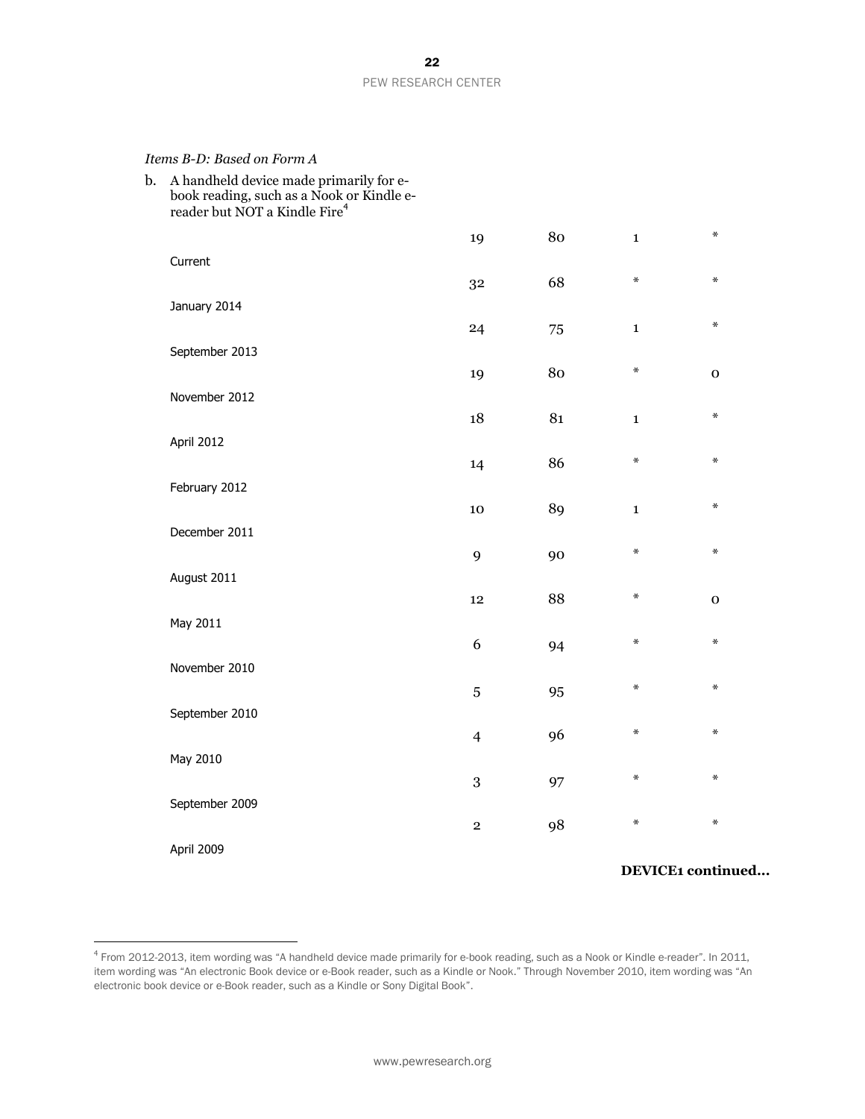#### *Items B-D: Based on Form A*

| September 2009<br>April 2009                                                           | 3<br>$\mathbf 2$                                                                                                    | 97<br>98       | $\ast$               | $\ast$<br>$\ast$  |                  |
|----------------------------------------------------------------------------------------|---------------------------------------------------------------------------------------------------------------------|----------------|----------------------|-------------------|------------------|
|                                                                                        |                                                                                                                     |                |                      |                   |                  |
|                                                                                        |                                                                                                                     |                |                      |                   |                  |
|                                                                                        |                                                                                                                     |                | $\star$              |                   |                  |
|                                                                                        | $\overline{4}$                                                                                                      |                |                      |                   |                  |
| September 2010                                                                         |                                                                                                                     |                |                      |                   |                  |
|                                                                                        | $\overline{5}$                                                                                                      | 95             | $\ast$               | $\ast$            |                  |
|                                                                                        | 6                                                                                                                   | 94             | $\star$              | $\ast$            |                  |
| May 2011                                                                               |                                                                                                                     |                |                      |                   |                  |
|                                                                                        | 12                                                                                                                  | 88             | $\star$              | $\mathbf 0$       |                  |
|                                                                                        | 9                                                                                                                   | 90             | $\ast$               | $\ast$            |                  |
| December 2011                                                                          |                                                                                                                     |                |                      |                   |                  |
| February 2012                                                                          |                                                                                                                     |                |                      | $\ast$            |                  |
|                                                                                        | 14                                                                                                                  | 86             | $\ast$               | $\ast$            |                  |
|                                                                                        |                                                                                                                     |                | $\mathbf{1}$         |                   |                  |
| November 2012                                                                          |                                                                                                                     |                |                      |                   |                  |
|                                                                                        | 19                                                                                                                  | 80             | ∗                    | $\mathbf 0$       |                  |
|                                                                                        | 24                                                                                                                  | 75             | $\mathbf 1$          | $\ast$            |                  |
| January 2014                                                                           |                                                                                                                     |                |                      |                   |                  |
| Current                                                                                |                                                                                                                     |                | ₩                    | $\ast$            |                  |
|                                                                                        | 19                                                                                                                  | 80             | $\mathbf{1}$         | $\ast$            |                  |
| book reading, such as a Nook or Kindle e-<br>reader but NOT a Kindle Fire <sup>4</sup> |                                                                                                                     |                |                      |                   |                  |
|                                                                                        | A handheld device made primarily for e-<br>September 2013<br>April 2012<br>August 2011<br>November 2010<br>May 2010 | 32<br>18<br>10 | 68<br>81<br>89<br>96 | $\mathbf{1}$<br>∗ | $\ast$<br>$\ast$ |

 4 From 2012-2013, item wording was "A handheld device made primarily for e-book reading, such as a Nook or Kindle e-reader". In 2011, item wording was "An electronic Book device or e-Book reader, such as a Kindle or Nook." Through November 2010, item wording was "An electronic book device or e-Book reader, such as a Kindle or Sony Digital Book".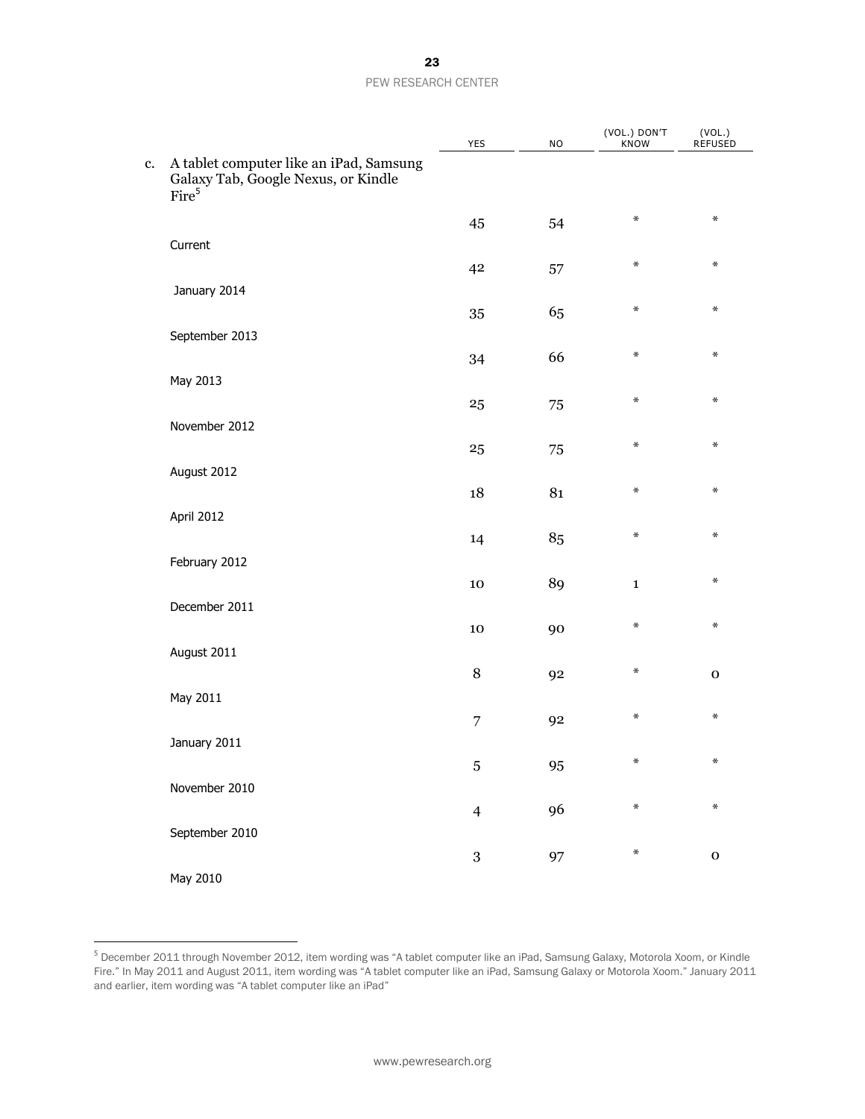|    |                                                                                                     | YES            | <b>NO</b> | (VOL.) DON'T<br>KNOW | (VOL.)<br>REFUSED |  |
|----|-----------------------------------------------------------------------------------------------------|----------------|-----------|----------------------|-------------------|--|
| c. | A tablet computer like an iPad, Samsung<br>Galaxy Tab, Google Nexus, or Kindle<br>Fire <sup>5</sup> |                |           |                      |                   |  |
|    |                                                                                                     | 45             | 54        | $\star$              | $\ast$            |  |
|    | Current                                                                                             |                |           | ₩                    | $\ast$            |  |
|    | January 2014                                                                                        | 42             | 57        |                      |                   |  |
|    |                                                                                                     | 35             | 65        | $\ast$               | $\ast$            |  |
|    | September 2013                                                                                      |                |           |                      |                   |  |
|    | May 2013                                                                                            | 34             | 66        | $\pmb{\times}$       | $\ast$            |  |
|    |                                                                                                     | 25             | 75        | ₩                    | $\ast$            |  |
|    | November 2012                                                                                       |                |           |                      |                   |  |
|    |                                                                                                     | 25             | 75        | $\ast$               | $\ast$            |  |
|    | August 2012                                                                                         | 18             | 81        | $\pmb{\times}$       | $\ast$            |  |
|    | April 2012                                                                                          |                |           |                      |                   |  |
|    |                                                                                                     | 14             | 85        | ₩                    | $\ast$            |  |
|    | February 2012                                                                                       | $10\,$         | 89        | $\mathbf{1}$         | $\ast$            |  |
|    | December 2011                                                                                       |                |           |                      |                   |  |
|    |                                                                                                     | $10\,$         | 90        | ₩                    | $\ast$            |  |
|    | August 2011                                                                                         | 8              | 92        | $\ast$               | $\mathbf O$       |  |
|    | May 2011                                                                                            |                |           |                      |                   |  |
|    |                                                                                                     | 7              | 92        | $\ast$               | $\ast$            |  |
|    | January 2011                                                                                        |                |           | ∗                    | ∗                 |  |
|    | November 2010                                                                                       | $\bf 5$        | 95        |                      |                   |  |
|    |                                                                                                     | $\overline{4}$ | 96        | $\ast$               | $\ast$            |  |
|    | September 2010                                                                                      |                |           |                      |                   |  |
|    | May 2010                                                                                            | $\,3$          | 97        | ₩                    | ${\bf O}$         |  |
|    |                                                                                                     |                |           |                      |                   |  |

 $\overline{a}$ 

<sup>&</sup>lt;sup>5</sup> December 2011 through November 2012, item wording was "A tablet computer like an iPad, Samsung Galaxy, Motorola Xoom, or Kindle Fire." In May 2011 and August 2011, item wording was "A tablet computer like an iPad, Samsung Galaxy or Motorola Xoom." January 2011 and earlier, item wording was "A tablet computer like an iPad"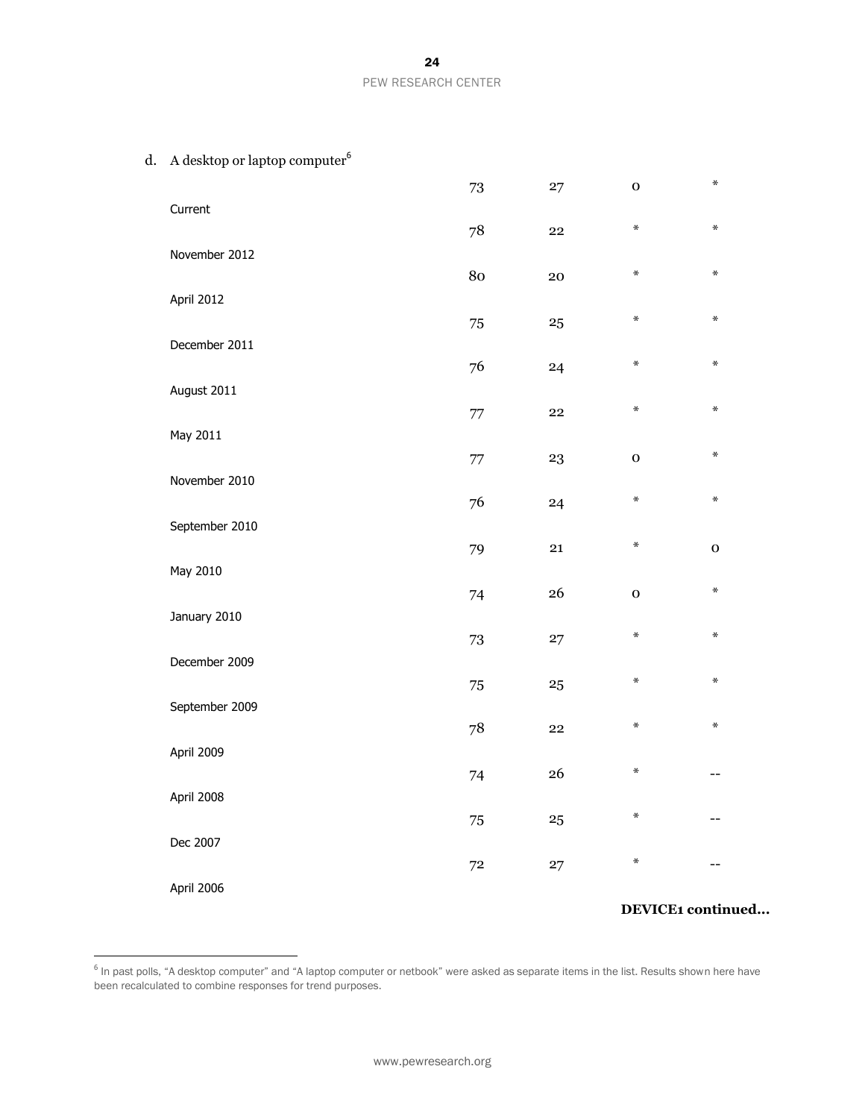| d. | A desktop or laptop computer <sup>6</sup> |        |          |             |             |
|----|-------------------------------------------|--------|----------|-------------|-------------|
|    |                                           | 73     | 27       | $\mathbf 0$ | $\ast$      |
|    | Current                                   | 78     | 22       | $\ast$      | $\ast$      |
|    | November 2012                             |        |          |             |             |
|    |                                           | 80     | 20       | $\ast$      | ∗           |
|    | April 2012                                | 75     | 25       | $\ast$      | $\ast$      |
|    | December 2011                             |        |          |             |             |
|    |                                           | 76     | 24       | $\ast$      | $\ast$      |
|    | August 2011                               | $77\,$ | 22       | $\ast$      | ∗           |
|    | May 2011                                  |        |          |             |             |
|    | November 2010                             | $77\,$ | 23       | $\mathbf 0$ | $\ast$      |
|    |                                           | 76     | 24       | $\ast$      | $\ast$      |
|    | September 2010                            |        |          |             |             |
|    | May 2010                                  | 79     | 21       | $\ast$      | $\mathbf 0$ |
|    |                                           | 74     | 26       | $\mathbf 0$ | $\ast$      |
|    | January 2010                              |        |          | $\ast$      | $\ast$      |
|    | December 2009                             | 73     | 27       |             |             |
|    |                                           | $75\,$ | 25       | $\ast$      | ∗           |
|    | September 2009                            | 78     | 22       | $\ast$      | $\ast$      |
|    | April 2009                                |        |          |             |             |
|    |                                           | 74     | 26       | $\star$     | --          |
|    | April 2008                                | $75\,$ | $\bf 25$ | ∗           |             |
|    | Dec 2007                                  |        |          |             |             |
|    |                                           | $72\,$ | 27       | $\ast$      |             |
|    | April 2006                                |        |          |             |             |

# **DEVICE1 continued...**

 6 In past polls, "A desktop computer" and "A laptop computer or netbook" were asked as separate items in the list. Results shown here have been recalculated to combine responses for trend purposes.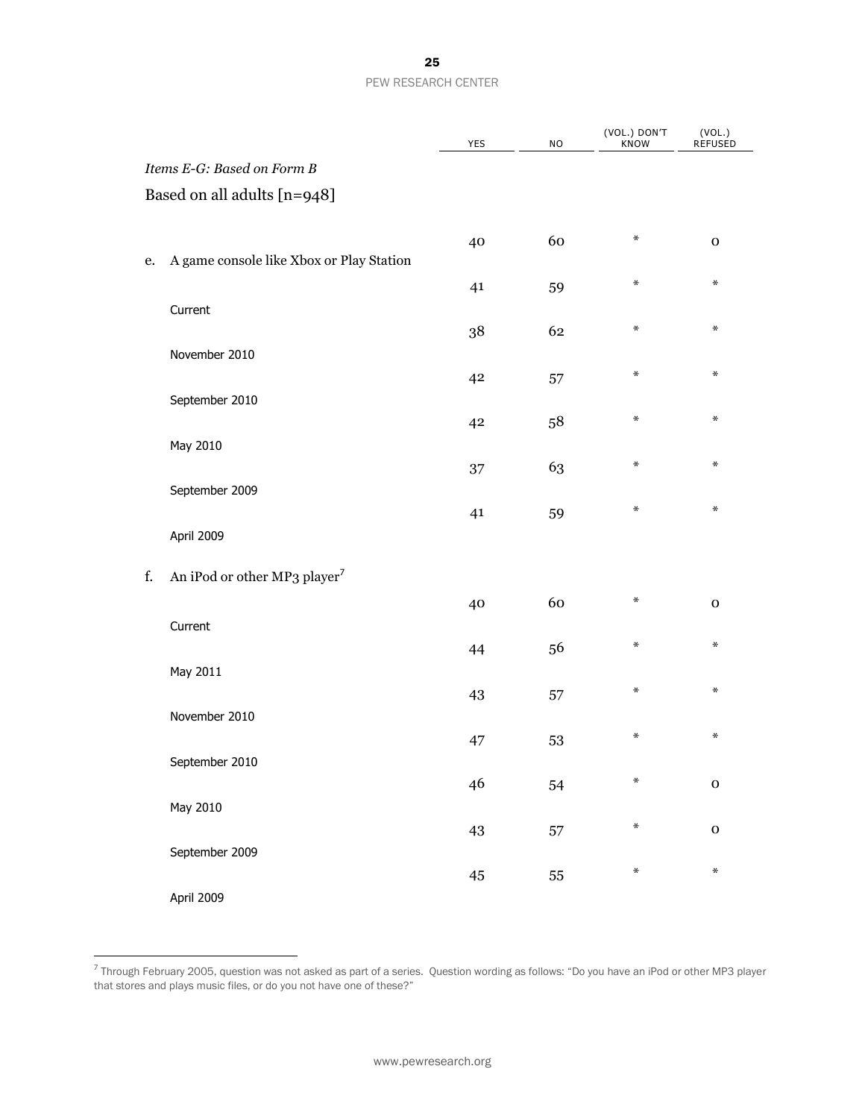|    |                                          | YES | <b>NO</b> | (VOL.) DON'T<br><b>KNOW</b> | (VOL.)<br>REFUSED |
|----|------------------------------------------|-----|-----------|-----------------------------|-------------------|
|    | Items E-G: Based on Form B               |     |           |                             |                   |
|    | Based on all adults [n=948]              |     |           |                             |                   |
| e. | A game console like Xbox or Play Station | 40  | 60        | ₩                           | $\mathbf 0$       |
|    |                                          | 41  | 59        | ∗                           | $\ast$            |
|    | Current                                  | 38  | 62        | ∗                           | $\ast$            |
|    | November 2010                            | 42  | 57        | ∗                           | $\ast$            |
|    | September 2010                           |     |           | ∗                           | $\ast$            |
|    | May 2010                                 | 42  | 58        |                             |                   |
|    | September 2009                           | 37  | 63        | ∗                           | $\ast$            |
|    | April 2009                               | 41  | 59        | ∗                           | $\ast$            |
| f. | An iPod or other MP3 player <sup>7</sup> |     |           |                             |                   |
|    | Current                                  | 40  | 60        | ₩                           | $\mathbf 0$       |
|    | May 2011                                 | 44  | 56        | ∗                           | $\ast$            |
|    |                                          | 43  | 57        | ∗                           | $\ast$            |
|    | November 2010                            | 47  | 53        | $\ast$                      | $\ast$            |
|    | September 2010                           | 46  | 54        | ∗                           | $\mathbf 0$       |
|    | May 2010                                 | 43  | 57        | ∗                           | $\mathbf 0$       |
|    | September 2009                           |     |           | $\ast$                      | $\ast$            |
|    | April 2009                               | 45  | 55        |                             |                   |

 7 Through February 2005, question was not asked as part of a series. Question wording as follows: "Do you have an iPod or other MP3 player that stores and plays music files, or do you not have one of these?"